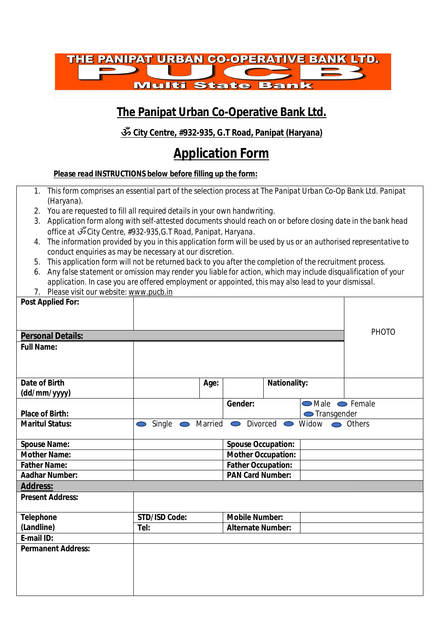

## **The Panipat Urban Co-Operative Bank Ltd.**

#### **ॐ City Centre, #932-935, G.T Road, Panipat (Haryana)**

# **Application Form**

*Please read INSTRUCTIONS below before filling up the form:* 

- *1. This form comprises an essential part of the selection process at The Panipat Urban Co-Op Bank Ltd. Panipat (Haryana).*
- *2. You are requested to fill all required details in your own handwriting.*
- *3. Application form along with self-attested documents should reach on or before closing date in the bank head office at ॐ City Centre, #932-935,G.T Road, Panipat, Haryana.*
- *4. The information provided by you in this application form will be used by us or an authorised representative to conduct enquiries as may be necessary at our discretion.*
- *5. This application form will not be returned back to you after the completion of the recruitment process.*
- *6. Any false statement or omission may render you liable for action, which may include disqualification of your application. In case you are offered employment or appointed, this may also lead to your dismissal.*
- 7. *Please visit our website: [www.pucb.in](http://www.pucb.in)*

| <b>Post Applied For:</b>  |                                |      |                           |                     |                                                     |              |
|---------------------------|--------------------------------|------|---------------------------|---------------------|-----------------------------------------------------|--------------|
|                           |                                |      |                           |                     |                                                     |              |
| <b>Personal Details:</b>  |                                |      |                           |                     |                                                     | <b>PHOTO</b> |
| <b>Full Name:</b>         |                                |      |                           |                     |                                                     |              |
|                           |                                |      |                           |                     |                                                     |              |
| <b>Date of Birth</b>      |                                | Age: |                           | <b>Nationality:</b> |                                                     |              |
| (dd/mm/yyyy)              |                                |      |                           |                     |                                                     |              |
| <b>Place of Birth:</b>    |                                |      | Gender:                   |                     | <b>O</b> Male <b>O</b> Female<br><b>Transgender</b> |              |
| <b>Maritul Status:</b>    | Single $\bullet$<br>$\bigcirc$ |      |                           |                     | Married • Divorced • Widow • Others                 |              |
| <b>Spouse Name:</b>       |                                |      | <b>Spouse Occupation:</b> |                     |                                                     |              |
| <b>Mother Name:</b>       |                                |      | <b>Mother Occupation:</b> |                     |                                                     |              |
| <b>Father Name:</b>       |                                |      | <b>Father Occupation:</b> |                     |                                                     |              |
| <b>Aadhar Number:</b>     |                                |      | <b>PAN Card Number:</b>   |                     |                                                     |              |
| <b>Address:</b>           |                                |      |                           |                     |                                                     |              |
| <b>Present Address:</b>   |                                |      |                           |                     |                                                     |              |
| <b>Telephone</b>          | <b>STD/ISD Code:</b>           |      | <b>Mobile Number:</b>     |                     |                                                     |              |
| (Landline)                | Tel:                           |      | <b>Alternate Number:</b>  |                     |                                                     |              |
| E-mail ID:                |                                |      |                           |                     |                                                     |              |
| <b>Permanent Address:</b> |                                |      |                           |                     |                                                     |              |
|                           |                                |      |                           |                     |                                                     |              |
|                           |                                |      |                           |                     |                                                     |              |
|                           |                                |      |                           |                     |                                                     |              |
|                           |                                |      |                           |                     |                                                     |              |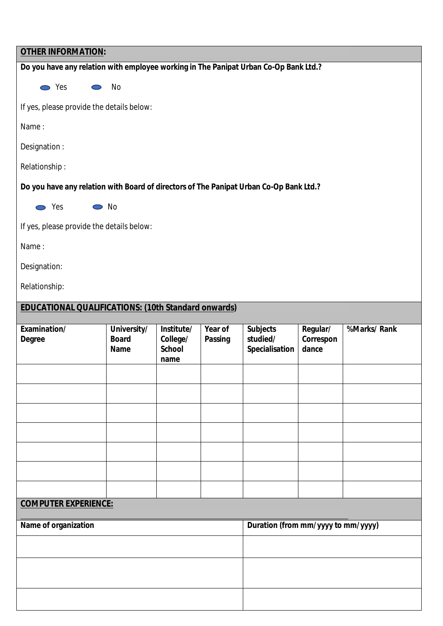| <b>OTHER INFORMATION:</b>                                                              |                                            |                                                 |                                    |                                               |                                |             |
|----------------------------------------------------------------------------------------|--------------------------------------------|-------------------------------------------------|------------------------------------|-----------------------------------------------|--------------------------------|-------------|
| Do you have any relation with employee working in The Panipat Urban Co-Op Bank Ltd.?   |                                            |                                                 |                                    |                                               |                                |             |
| <b>⊘</b> Yes<br>$\bigcirc$                                                             | No                                         |                                                 |                                    |                                               |                                |             |
| If yes, please provide the details below:                                              |                                            |                                                 |                                    |                                               |                                |             |
| Name:                                                                                  |                                            |                                                 |                                    |                                               |                                |             |
| Designation:                                                                           |                                            |                                                 |                                    |                                               |                                |             |
| Relationship:                                                                          |                                            |                                                 |                                    |                                               |                                |             |
| Do you have any relation with Board of directors of The Panipat Urban Co-Op Bank Ltd.? |                                            |                                                 |                                    |                                               |                                |             |
| $\sum$ Yes<br>$\bullet$ No                                                             |                                            |                                                 |                                    |                                               |                                |             |
| If yes, please provide the details below:                                              |                                            |                                                 |                                    |                                               |                                |             |
| Name:                                                                                  |                                            |                                                 |                                    |                                               |                                |             |
| Designation:                                                                           |                                            |                                                 |                                    |                                               |                                |             |
| Relationship:                                                                          |                                            |                                                 |                                    |                                               |                                |             |
| <b>EDUCATIONAL QUALIFICATIONS: (10th Standard onwards)</b>                             |                                            |                                                 |                                    |                                               |                                |             |
| Examination/<br><b>Degree</b>                                                          | University/<br><b>Board</b><br><b>Name</b> | Institute/<br>College/<br><b>School</b><br>name | Year of<br><b>Passing</b>          | <b>Subjects</b><br>studied/<br>Specialisation | Regular/<br>Correspon<br>dance | %Marks/Rank |
|                                                                                        |                                            |                                                 |                                    |                                               |                                |             |
|                                                                                        |                                            |                                                 |                                    |                                               |                                |             |
|                                                                                        |                                            |                                                 |                                    |                                               |                                |             |
|                                                                                        |                                            |                                                 |                                    |                                               |                                |             |
|                                                                                        |                                            |                                                 |                                    |                                               |                                |             |
|                                                                                        |                                            |                                                 |                                    |                                               |                                |             |
| <b>COMPUTER EXPERIENCE:</b>                                                            |                                            |                                                 |                                    |                                               |                                |             |
|                                                                                        |                                            |                                                 |                                    |                                               |                                |             |
| Name of organization                                                                   |                                            |                                                 | Duration (from mm/yyyy to mm/yyyy) |                                               |                                |             |
|                                                                                        |                                            |                                                 |                                    |                                               |                                |             |
|                                                                                        |                                            |                                                 |                                    |                                               |                                |             |
|                                                                                        |                                            |                                                 |                                    |                                               |                                |             |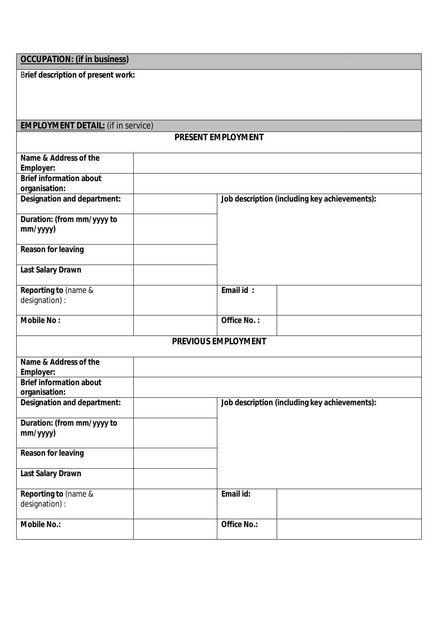B**rief description of present work:** 

# **EMPLOYMENT DETAIL:** (if in service)

#### **PRESENT EMPLOYMENT**

| Name & Address of the                  |                                               |  |
|----------------------------------------|-----------------------------------------------|--|
| <b>Employer:</b>                       |                                               |  |
| <b>Brief information about</b>         |                                               |  |
| organisation:                          |                                               |  |
| <b>Designation and department:</b>     | Job description (including key achievements): |  |
| Duration: (from mm/yyyy to<br>mm/yyyy) |                                               |  |
| <b>Reason for leaving</b>              |                                               |  |
| <b>Last Salary Drawn</b>               |                                               |  |
| Reporting to (name &                   | Email id:                                     |  |
| designation) :                         |                                               |  |
|                                        |                                               |  |
| <b>Mobile No:</b>                      | Office No.:                                   |  |
|                                        | <b>PREVIOUS EMPLOYMENT</b>                    |  |
| Name & Address of the                  |                                               |  |
| <b>Employer:</b>                       |                                               |  |
| <b>Brief information about</b>         |                                               |  |
| organisation:                          |                                               |  |
| <b>Designation and department:</b>     | Job description (including key achievements): |  |
| Duration: (from mm/yyyy to             |                                               |  |
| mm/yyyy)                               |                                               |  |
| <b>Reason for leaving</b>              |                                               |  |
|                                        |                                               |  |
| <b>Last Salary Drawn</b>               |                                               |  |
| Reporting to (name &                   | Email id:                                     |  |
| designation) :                         |                                               |  |
|                                        |                                               |  |
| <b>Mobile No.:</b>                     | <b>Office No.:</b>                            |  |
|                                        |                                               |  |